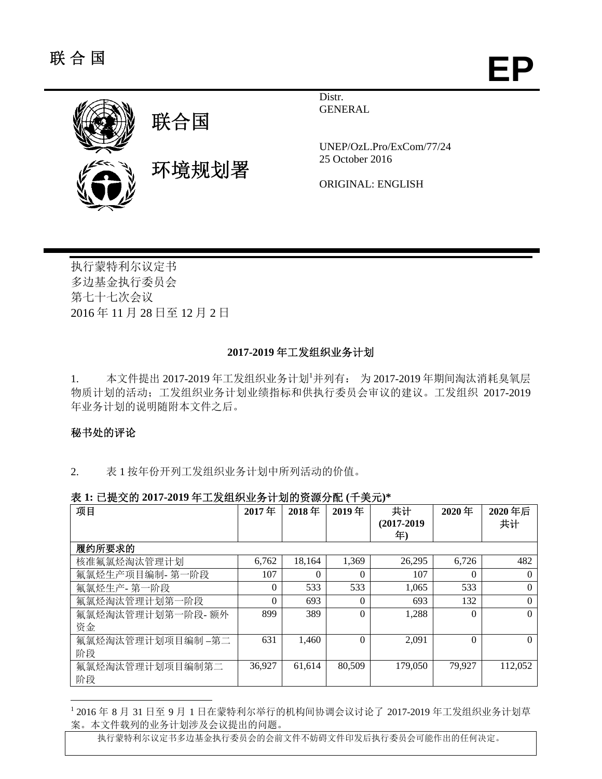**EP**



Distr. **GENERAL** 

UNEP/OzL.Pro/ExCom/77/24 25 October 2016

ORIGINAL: ENGLISH

执行蒙特利尔议定书 多边基金执行委员会 第七十七次会议 2016 年 11 月 28 日至 12 月 2 日

#### **2017-2019** 年工发组织业务计划

1. 本文件提出 2017-2019年工发组织业务计划 并列有: 为 2017-2019年期间淘汰消耗臭氧层 物质计划的活动;工发组织业务计划业绩指标和供执行委员会审议的建议。工发组织 2017-2019 年业务计划的说明随附本文件之后。

#### 秘书处的评论

l

2. 表 1 按年份开列工发组织业务计划中所列活动的价值。

|  | 表 1: 已提交的 2017-2019 年工发组织业务计划的资源分配 (千美元)* |  |
|--|-------------------------------------------|--|
|--|-------------------------------------------|--|

| 项目               | 2017年    | 2018年  | 2019年    | 共计             | 2020年    | 2020年后   |
|------------------|----------|--------|----------|----------------|----------|----------|
|                  |          |        |          | $(2017 - 2019$ |          | 共计       |
|                  |          |        |          | 年)             |          |          |
| 履约所要求的           |          |        |          |                |          |          |
| 核准氟氯烃淘汰管理计划      | 6,762    | 18.164 | 1,369    | 26,295         | 6,726    | 482      |
| 氟氯烃生产项目编制- 第一阶段  | 107      | 0      | $\Omega$ | 107            | $\Omega$ | $\Omega$ |
| 氟氯烃生产- 第一阶段      | $\Omega$ | 533    | 533      | 1.065          | 533      | $\Omega$ |
| 氟氯烃淘汰管理计划第一阶段    | $\theta$ | 693    | $\Omega$ | 693            | 132      | $\Omega$ |
| 氟氯烃淘汰管理计划第一阶段-额外 | 899      | 389    | $\theta$ | 1.288          | $\Omega$ | $\Omega$ |
| 资金               |          |        |          |                |          |          |
| 氟氯烃淘汰管理计划项目编制-第二 | 631      | 1.460  | $\theta$ | 2.091          | $\theta$ | $\Omega$ |
| 阶段               |          |        |          |                |          |          |
| 氟氯烃淘汰管理计划项目编制第二  | 36,927   | 61.614 | 80.509   | 179,050        | 79.927   | 112,052  |
| 阶段               |          |        |          |                |          |          |

1 2016 年 8 月 31 日至 9 月 1 日在蒙特利尔举行的机构间协调会议讨论了 2017-2019 年工发组织业务计划草 案。本文件载列的业务计划涉及会议提出的问题。

执行蒙特利尔议定书多边基金执行委员会的会前文件不妨碍文件印发后执行委员会可能作出的任何决定。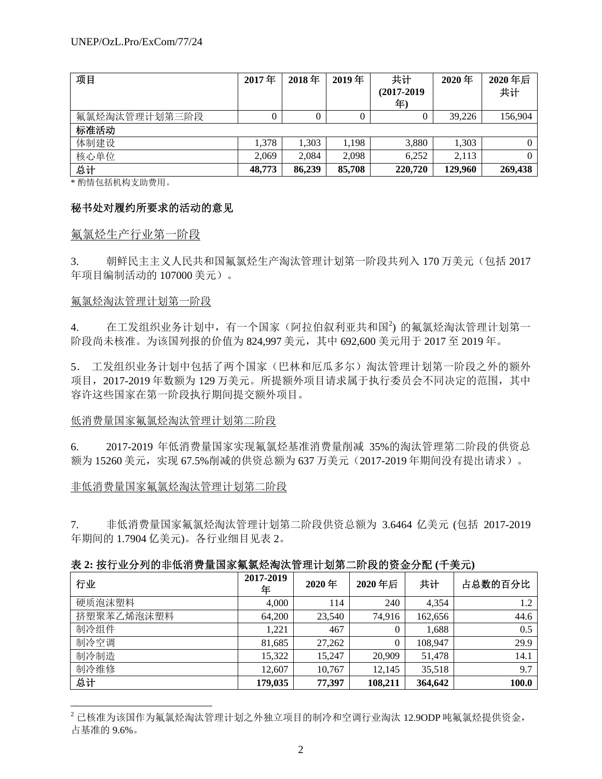| 项目            | 2017年  | 2018年    | 2019年  | 共计         | 2020年   | 2020年后  |
|---------------|--------|----------|--------|------------|---------|---------|
|               |        |          |        | (2017-2019 |         | 共计      |
|               |        |          |        | 年          |         |         |
| 氟氯烃淘汰管理计划第三阶段 |        | $\theta$ |        |            | 39.226  | 156,904 |
| 标准活动          |        |          |        |            |         |         |
| 体制建设          | 1.378  | 1.303    | 1,198  | 3,880      | 1,303   |         |
| 核心单位          | 2.069  | 2.084    | 2.098  | 6.252      | 2,113   |         |
| 总计            | 48,773 | 86,239   | 85,708 | 220,720    | 129,960 | 269,438 |

\* 酌情包括机构支助费用。

### 秘书处对履约所要求的活动的意见

#### 氟氯烃生产行业第一阶段

3. 朝鲜民主主义人民共和国氟氯烃生产淘汰管理计划第一阶段共列入 170 万美元(包括 2017 年项目编制活动的 107000 美元)。

#### 氟氯烃淘汰管理计划第一阶段

l

4. 在工发组织业务计划中, 有一个国家(阿拉伯叙利亚共和国<sup>2</sup>) 的氟氯烃淘汰管理计划第一 阶段尚未核准。为该国列报的价值为 824,997 美元,其中 692,600 美元用于 2017 至 2019 年。

5. 工发组织业务计划中包括了两个国家(巴林和厄瓜多尔)淘汰管理计划第一阶段之外的额外 项目,2017-2019 年数额为 129 万美元。所提额外项目请求属于执行委员会不同决定的范围,其中 容许这些国家在第一阶段执行期间提交额外项目。

### 低消费量国家氟氯烃淘汰管理计划第二阶段

6. 2017-2019 年低消费量国家实现氟氯烃基准消费量削减 35%的淘汰管理第二阶段的供资总 额为 15260 美元,实现 67.5%削减的供资总额为 637 万美元(2017-2019 年期间没有提出请求)。

### 非低消费量国家氟氯烃淘汰管理计划第二阶段

7. 非低消费量国家氟氯烃淘汰管理计划第二阶段供资总额为 3.6464 亿美元 (包括 2017-2019 年期间的 1.7904 亿美元)。各行业细目见表 2。

|  | 表 2: 按行业分列的非低消费量国家氟氯烃淘汰管理计划第二阶段的资金分配 (千美元) |  |  |
|--|--------------------------------------------|--|--|
|  |                                            |  |  |

| 行业         | 2017-2019<br>年 | 2020年  | 2020年后  | 共计      | 占总数的百分比 |
|------------|----------------|--------|---------|---------|---------|
| 硬质泡沫塑料     | 4,000          | 114    | 240     | 4,354   | 1.2     |
| 挤塑聚苯乙烯泡沫塑料 | 64,200         | 23,540 | 74.916  | 162,656 | 44.6    |
| 制冷组件       | 1,221          | 467    | 0       | 1,688   | 0.5     |
| 制冷空调       | 81,685         | 27,262 | 0       | 108,947 | 29.9    |
| 制冷制造       | 15,322         | 15,247 | 20,909  | 51,478  | 14.1    |
| 制冷维修       | 12,607         | 10,767 | 12.145  | 35,518  | 9.7     |
| 总计         | 179,035        | 77,397 | 108,211 | 364,642 | 100.0   |

<sup>2</sup> 已核准为该国作为氟氯烃淘汰管理计划之外独立项目的制冷和空调行业淘汰 12.9ODP 吨氟氯烃提供资金, 占基准的 9.6%。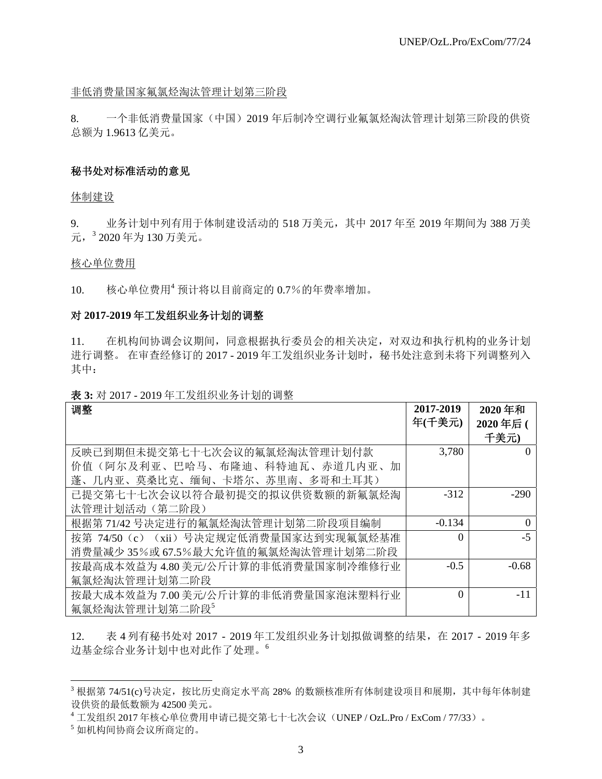#### 非低消费量国家氟氯烃淘汰管理计划第三阶段

8. 一个非低消费量国家(中国)2019 年后制冷空调行业氟氯烃淘汰管理计划第三阶段的供资 总额为 1.9613 亿美元。

#### 秘书处对标准活动的意见

体制建设

9. 业务计划中列有用于体制建设活动的 518 万美元,其中 2017 年至 2019 年期间为 388 万美 元, <sup>3</sup> 2020年为 130 万美元。

#### 核心单位费用

10. 核心单位费用<sup>4</sup> 预计将以目前商定的 0.7%的年费率增加。

#### 对 **2017-2019** 年工发组织业务计划的调整

11. 在机构间协调会议期间,同意根据执行委员会的相关决定,对双边和执行机构的业务计划 进行调整。 在审查经修订的 2017 - 2019 年工发组织业务计划时,秘书处注意到未将下列调整列入 其中:

| 调整                                      | 2017-2019 | 2020年和           |
|-----------------------------------------|-----------|------------------|
|                                         | 年(千美元)    | 2020年后(          |
|                                         |           |                  |
|                                         |           | 千美元)             |
| 反映已到期但未提交第七十七次会议的氟氯烃淘汰管理计划付款            | 3,780     | $\theta$         |
| 价值(阿尔及利亚、巴哈马、布隆迪、科特迪瓦、赤道几内亚、加           |           |                  |
| 蓬、几内亚、莫桑比克、缅甸、卡塔尔、苏里南、多哥和土耳其)           |           |                  |
| 已提交第七十七次会议以符合最初提交的拟议供资数额的新氟氯烃淘          | $-312$    | $-290$           |
| 汰管理计划活动 (第二阶段)                          |           |                  |
| 根据第71/42号决定进行的氟氯烃淘汰管理计划第二阶段项目编制         | $-0.134$  | $\boldsymbol{0}$ |
| 按第 74/50 (c) (xii) 号决定规定低消费量国家达到实现氟氯烃基准 | $\Omega$  | $-5$             |
| 消费量减少35%或67.5%最大允许值的氟氯烃淘汰管理计划第二阶段       |           |                  |
| 按最高成本效益为 4.80 美元/公斤计算的非低消费量国家制冷维修行业     | $-0.5$    | $-0.68$          |
| 氟氯烃淘汰管理计划第二阶段                           |           |                  |
| 按最大成本效益为 7.00 美元/公斤计算的非低消费量国家泡沫塑料行业     | $\Omega$  | -11              |
| 氟氯烃淘汰管理计划第二阶段 <sup>5</sup>              |           |                  |

表 **3:** 对 2017 - 2019 年工发组织业务计划的调整

12. 表 4 列有秘书处对 2017 - 2019 年工发组织业务计划拟做调整的结果,在 2017 - 2019 年多 边基金综合业务计划中也对此作了处理。<sup>6</sup>

1

 $^3$ 根据第 74/51(c)号决定,按比历史商定水平高 28% 的数额核准所有体制建设项目和展期,其中每年体制建 设供资的最低数额为 42500 美元。

<sup>4</sup> 工发组织 2017 年核心单位费用申请已提交第七十七次会议(UNEP / OzL.Pro / ExCom / 77/33)。

<sup>5</sup> 如机构间协商会议所商定的。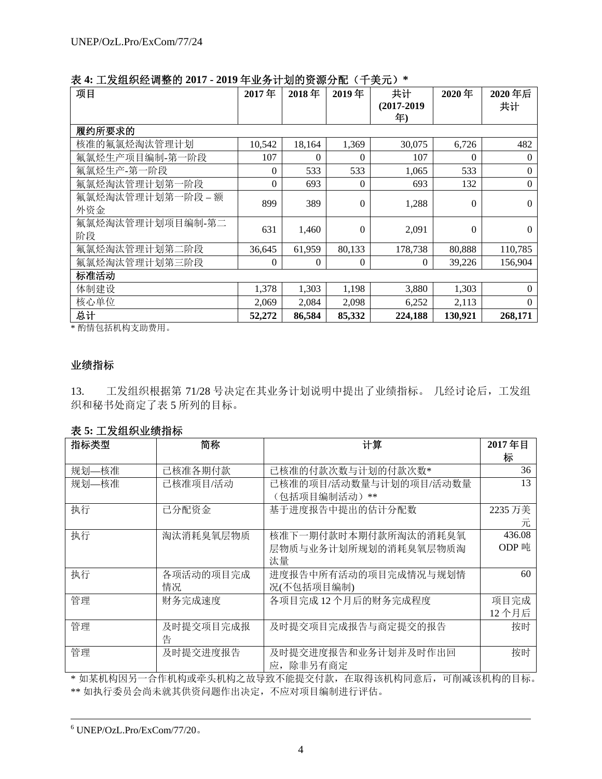| 项目                | 2017年          | 2018年  | 2019年          | 共计         | 2020年    | 2020年后       |
|-------------------|----------------|--------|----------------|------------|----------|--------------|
|                   |                |        |                | (2017-2019 |          | 共计           |
|                   |                |        |                | 年)         |          |              |
| 履约所要求的            |                |        |                |            |          |              |
| 核准的氟氯烃淘汰管理计划      | 10,542         | 18,164 | 1,369          | 30,075     | 6,726    | 482          |
| 氟氯烃生产项目编制-第一阶段    | 107            | 0      | $\Omega$       | 107        | $\Omega$ | $\Omega$     |
| 氟氯烃生产-第一阶段        | $\theta$       | 533    | 533            | 1,065      | 533      | $\Omega$     |
| 氟氯烃淘汰管理计划第一阶段     | $\overline{0}$ | 693    | $\theta$       | 693        | 132      | $\mathbf{0}$ |
| 氟氯烃淘汰管理计划第一阶段 - 额 | 899            | 389    | $\theta$       | 1,288      | $\theta$ | $\Omega$     |
| 外资金               |                |        |                |            |          |              |
| 氟氯烃淘汰管理计划项目编制-第二  | 631            | 1,460  | $\overline{0}$ | 2,091      | $\theta$ | $\Omega$     |
| 阶段                |                |        |                |            |          |              |
| 氟氯烃淘汰管理计划第二阶段     | 36,645         | 61,959 | 80,133         | 178,738    | 80,888   | 110,785      |
| 氟氯烃淘汰管理计划第三阶段     | $\theta$       | 0      | $\overline{0}$ | $\Omega$   | 39,226   | 156,904      |
| 标准活动              |                |        |                |            |          |              |
| 体制建设              | 1,378          | 1,303  | 1,198          | 3,880      | 1,303    | $\Omega$     |
| 核心单位              | 2,069          | 2,084  | 2,098          | 6,252      | 2,113    | $\Omega$     |
| 总计                | 52,272         | 86,584 | 85,332         | 224,188    | 130,921  | 268,171      |

表 **4:** 工发组织经调整的 **2017 - 2019** 年业务计划的资源分配(千美元)**\*** 

\* 酌情包括机构支助费用。

### 业绩指标

13. 工发组织根据第 71/28 号决定在其业务计划说明中提出了业绩指标。 几经讨论后,工发组 织和秘书处商定了表 5 所列的目标。

表 **5:** 工发组织业绩指标

| 指标类型  | 简称        | 计算                     | 2017年目  |
|-------|-----------|------------------------|---------|
|       |           |                        | 标       |
| 规划—核准 | 已核准各期付款   | 已核准的付款次数与计划的付款次数*      | 36      |
| 规划—核准 | 已核准项目/活动  | 已核准的项目/活动数量与计划的项目/活动数量 | 13      |
|       |           | (包括项目编制活动) **          |         |
| 执行    | 已分配资金     | 基于进度报告中提出的估计分配数        | 2235 万美 |
|       |           |                        | 兀       |
| 执行    | 淘汰消耗臭氧层物质 | 核准下一期付款时本期付款所淘汰的消耗臭氧   | 436.08  |
|       |           | 层物质与业务计划所规划的消耗臭氧层物质淘   | ODP 吨   |
|       |           | 汰量                     |         |
| 执行    | 各项活动的项目完成 | 进度报告中所有活动的项目完成情况与规划情   | 60      |
|       | 情况        | 况(不包括项目编制)             |         |
| 管理    | 财务完成速度    | 各项目完成12个月后的财务完成程度      | 项目完成    |
|       |           |                        | 12 个月后  |
| 管理    | 及时提交项目完成报 | 及时提交项目完成报告与商定提交的报告     | 按时      |
|       | 告         |                        |         |
| 管理    | 及时提交进度报告  | 及时提交进度报告和业务计划并及时作出回    | 按时      |
|       |           | 除非另有商定<br>应,           |         |

\* 如某机构因另一合作机构或牵头机构之故导致不能提交付款,在取得该机构同意后,可削减该机构的目标。 \*\* 如执行委员会尚未就其供资问题作出决定,不应对项目编制进行评估。

 <sup>6</sup>  $6$  UNEP/OzL.Pro/ExCom/77/20.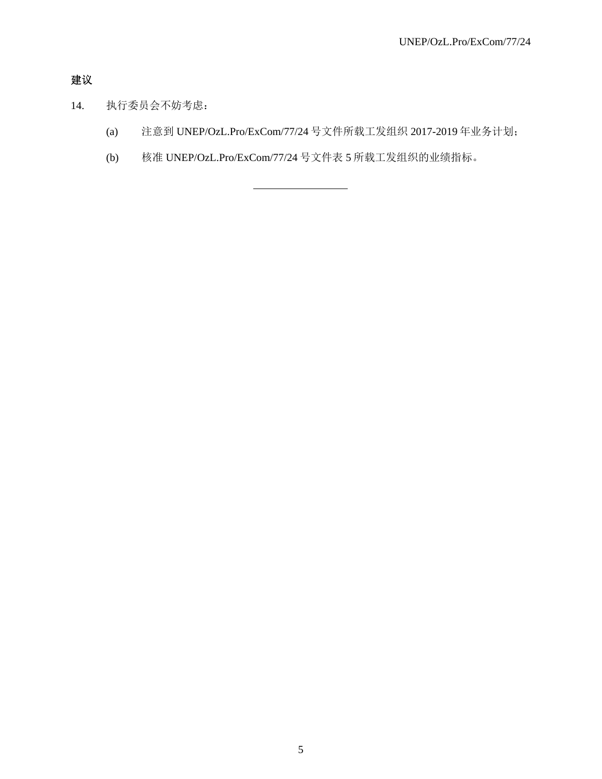# 建议

- 14. 执行委员会不妨考虑:
	- (a) 注意到 UNEP/OzL.Pro/ExCom/77/24 号文件所载工发组织 2017-2019 年业务计划;
	- (b) 核准 UNEP/OzL.Pro/ExCom/77/24 号文件表 5 所载工发组织的业绩指标。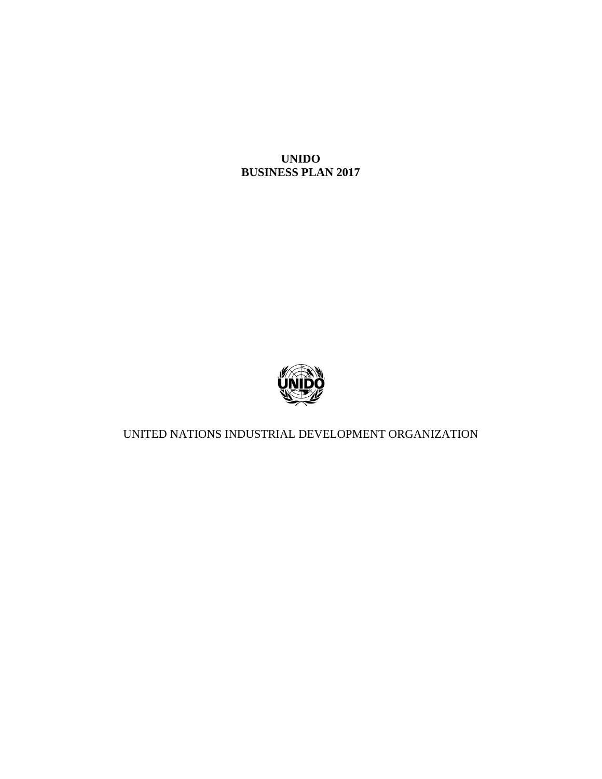

UNITED NATIONS INDUSTRIAL DEVELOPMENT ORGANIZATION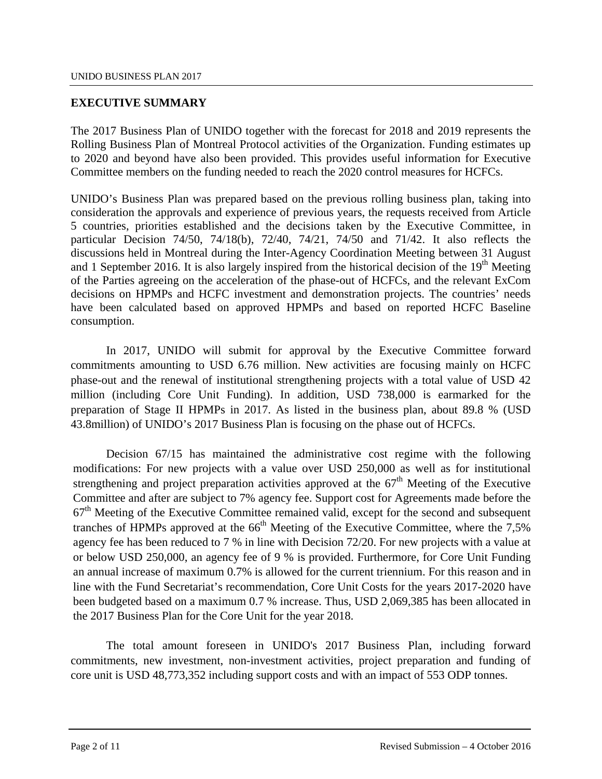## **EXECUTIVE SUMMARY**

The 2017 Business Plan of UNIDO together with the forecast for 2018 and 2019 represents the Rolling Business Plan of Montreal Protocol activities of the Organization. Funding estimates up to 2020 and beyond have also been provided. This provides useful information for Executive Committee members on the funding needed to reach the 2020 control measures for HCFCs.

UNIDO's Business Plan was prepared based on the previous rolling business plan, taking into consideration the approvals and experience of previous years, the requests received from Article 5 countries, priorities established and the decisions taken by the Executive Committee, in particular Decision 74/50, 74/18(b), 72/40, 74/21, 74/50 and 71/42. It also reflects the discussions held in Montreal during the Inter-Agency Coordination Meeting between 31 August and 1 September 2016. It is also largely inspired from the historical decision of the 19<sup>th</sup> Meeting of the Parties agreeing on the acceleration of the phase-out of HCFCs, and the relevant ExCom decisions on HPMPs and HCFC investment and demonstration projects. The countries' needs have been calculated based on approved HPMPs and based on reported HCFC Baseline consumption.

In 2017, UNIDO will submit for approval by the Executive Committee forward commitments amounting to USD 6.76 million. New activities are focusing mainly on HCFC phase-out and the renewal of institutional strengthening projects with a total value of USD 42 million (including Core Unit Funding). In addition, USD 738,000 is earmarked for the preparation of Stage II HPMPs in 2017. As listed in the business plan, about 89.8 % (USD 43.8million) of UNIDO's 2017 Business Plan is focusing on the phase out of HCFCs.

Decision 67/15 has maintained the administrative cost regime with the following modifications: For new projects with a value over USD 250,000 as well as for institutional strengthening and project preparation activities approved at the  $67<sup>th</sup>$  Meeting of the Executive Committee and after are subject to 7% agency fee. Support cost for Agreements made before the  $67<sup>th</sup>$  Meeting of the Executive Committee remained valid, except for the second and subsequent tranches of HPMPs approved at the  $66<sup>th</sup>$  Meeting of the Executive Committee, where the 7.5% agency fee has been reduced to 7 % in line with Decision 72/20. For new projects with a value at or below USD 250,000, an agency fee of 9 % is provided. Furthermore, for Core Unit Funding an annual increase of maximum 0.7% is allowed for the current triennium. For this reason and in line with the Fund Secretariat's recommendation, Core Unit Costs for the years 2017-2020 have been budgeted based on a maximum 0.7 % increase. Thus, USD 2,069,385 has been allocated in the 2017 Business Plan for the Core Unit for the year 2018.

The total amount foreseen in UNIDO's 2017 Business Plan, including forward commitments, new investment, non-investment activities, project preparation and funding of core unit is USD 48,773,352 including support costs and with an impact of 553 ODP tonnes.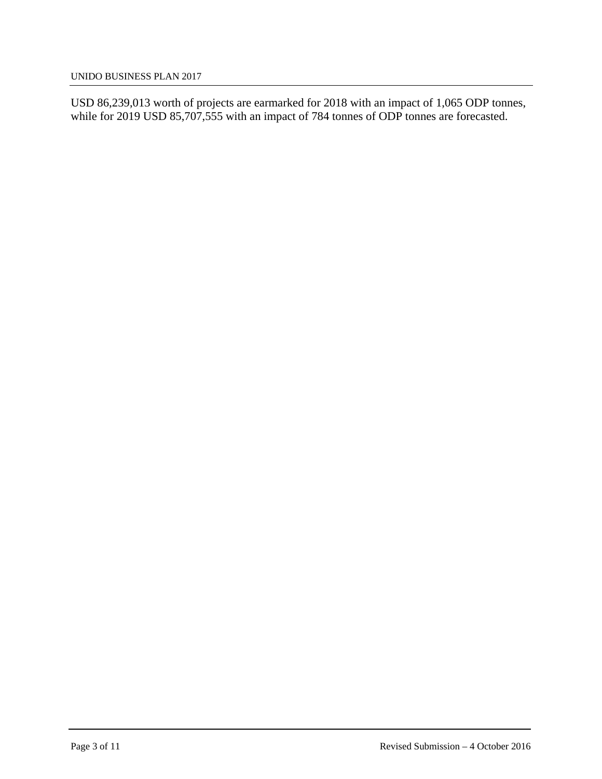USD 86,239,013 worth of projects are earmarked for 2018 with an impact of 1,065 ODP tonnes, while for 2019 USD 85,707,555 with an impact of 784 tonnes of ODP tonnes are forecasted.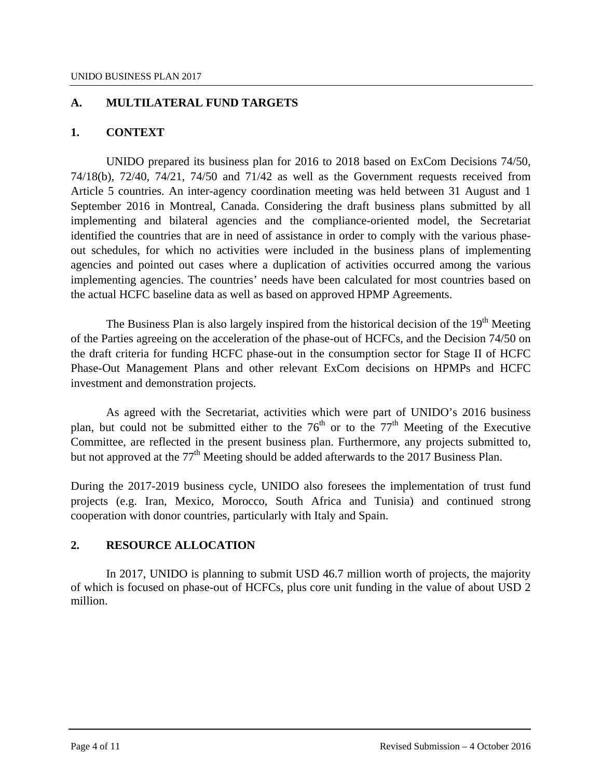## **A. MULTILATERAL FUND TARGETS**

## **1. CONTEXT**

UNIDO prepared its business plan for 2016 to 2018 based on ExCom Decisions 74/50, 74/18(b), 72/40, 74/21, 74/50 and 71/42 as well as the Government requests received from Article 5 countries. An inter-agency coordination meeting was held between 31 August and 1 September 2016 in Montreal, Canada. Considering the draft business plans submitted by all implementing and bilateral agencies and the compliance-oriented model, the Secretariat identified the countries that are in need of assistance in order to comply with the various phaseout schedules, for which no activities were included in the business plans of implementing agencies and pointed out cases where a duplication of activities occurred among the various implementing agencies. The countries' needs have been calculated for most countries based on the actual HCFC baseline data as well as based on approved HPMP Agreements.

The Business Plan is also largely inspired from the historical decision of the 19<sup>th</sup> Meeting of the Parties agreeing on the acceleration of the phase-out of HCFCs, and the Decision 74/50 on the draft criteria for funding HCFC phase-out in the consumption sector for Stage II of HCFC Phase-Out Management Plans and other relevant ExCom decisions on HPMPs and HCFC investment and demonstration projects.

As agreed with the Secretariat, activities which were part of UNIDO's 2016 business plan, but could not be submitted either to the  $76<sup>th</sup>$  or to the  $77<sup>th</sup>$  Meeting of the Executive Committee, are reflected in the present business plan. Furthermore, any projects submitted to, but not approved at the  $77<sup>th</sup>$  Meeting should be added afterwards to the 2017 Business Plan.

During the 2017-2019 business cycle, UNIDO also foresees the implementation of trust fund projects (e.g. Iran, Mexico, Morocco, South Africa and Tunisia) and continued strong cooperation with donor countries, particularly with Italy and Spain.

## **2. RESOURCE ALLOCATION**

In 2017, UNIDO is planning to submit USD 46.7 million worth of projects, the majority of which is focused on phase-out of HCFCs, plus core unit funding in the value of about USD 2 million.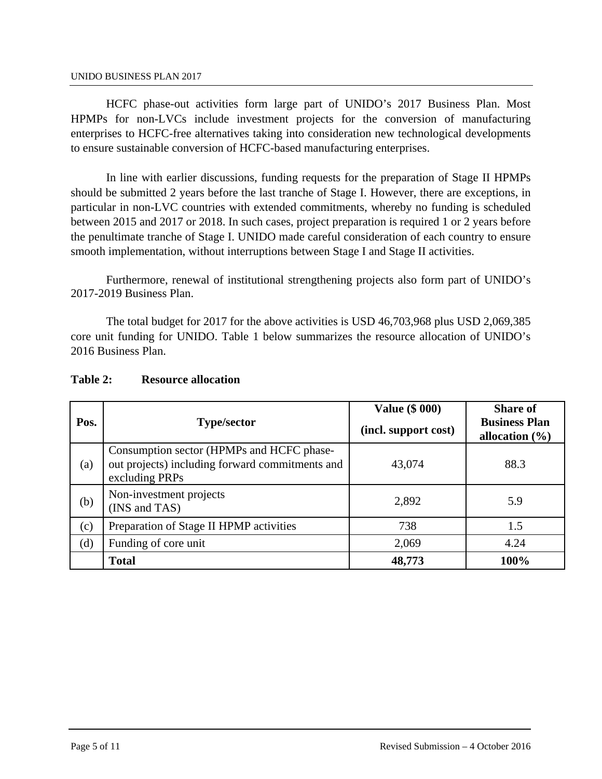HCFC phase-out activities form large part of UNIDO's 2017 Business Plan. Most HPMPs for non-LVCs include investment projects for the conversion of manufacturing enterprises to HCFC-free alternatives taking into consideration new technological developments to ensure sustainable conversion of HCFC-based manufacturing enterprises.

 In line with earlier discussions, funding requests for the preparation of Stage II HPMPs should be submitted 2 years before the last tranche of Stage I. However, there are exceptions, in particular in non-LVC countries with extended commitments, whereby no funding is scheduled between 2015 and 2017 or 2018. In such cases, project preparation is required 1 or 2 years before the penultimate tranche of Stage I. UNIDO made careful consideration of each country to ensure smooth implementation, without interruptions between Stage I and Stage II activities.

Furthermore, renewal of institutional strengthening projects also form part of UNIDO's 2017-2019 Business Plan.

The total budget for 2017 for the above activities is USD 46,703,968 plus USD 2,069,385 core unit funding for UNIDO. Table 1 below summarizes the resource allocation of UNIDO's 2016 Business Plan.

| Pos. | <b>Type/sector</b>                                                                                             | <b>Value (\$ 000)</b><br>(incl. support cost) | <b>Share of</b><br><b>Business Plan</b><br>allocation $(\% )$ |
|------|----------------------------------------------------------------------------------------------------------------|-----------------------------------------------|---------------------------------------------------------------|
| (a)  | Consumption sector (HPMPs and HCFC phase-<br>out projects) including forward commitments and<br>excluding PRPs | 43,074                                        | 88.3                                                          |
| (b)  | Non-investment projects<br>(INS and TAS)                                                                       | 2,892                                         | 5.9                                                           |
| (c)  | Preparation of Stage II HPMP activities                                                                        | 738                                           | 1.5                                                           |
| (d)  | Funding of core unit                                                                                           | 2,069                                         | 4.24                                                          |
|      | <b>Total</b>                                                                                                   | 48,773                                        | 100%                                                          |

### **Table 2: Resource allocation**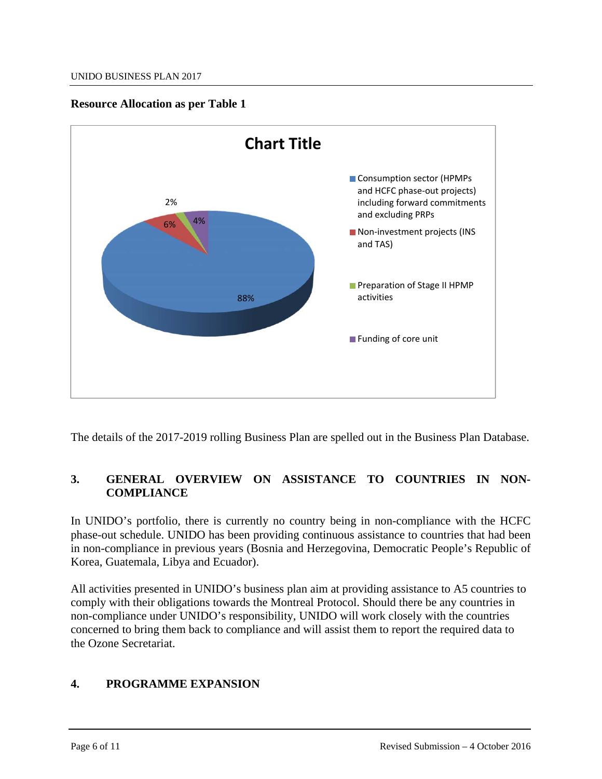## **Resource Allocation as per Table 1**



The details of the 2017-2019 rolling Business Plan are spelled out in the Business Plan Database.

# **3. GENERAL OVERVIEW ON ASSISTANCE TO COUNTRIES IN NON-COMPLIANCE**

In UNIDO's portfolio, there is currently no country being in non-compliance with the HCFC phase-out schedule. UNIDO has been providing continuous assistance to countries that had been in non-compliance in previous years (Bosnia and Herzegovina, Democratic People's Republic of Korea, Guatemala, Libya and Ecuador).

All activities presented in UNIDO's business plan aim at providing assistance to A5 countries to comply with their obligations towards the Montreal Protocol. Should there be any countries in non-compliance under UNIDO's responsibility, UNIDO will work closely with the countries concerned to bring them back to compliance and will assist them to report the required data to the Ozone Secretariat.

# **4. PROGRAMME EXPANSION**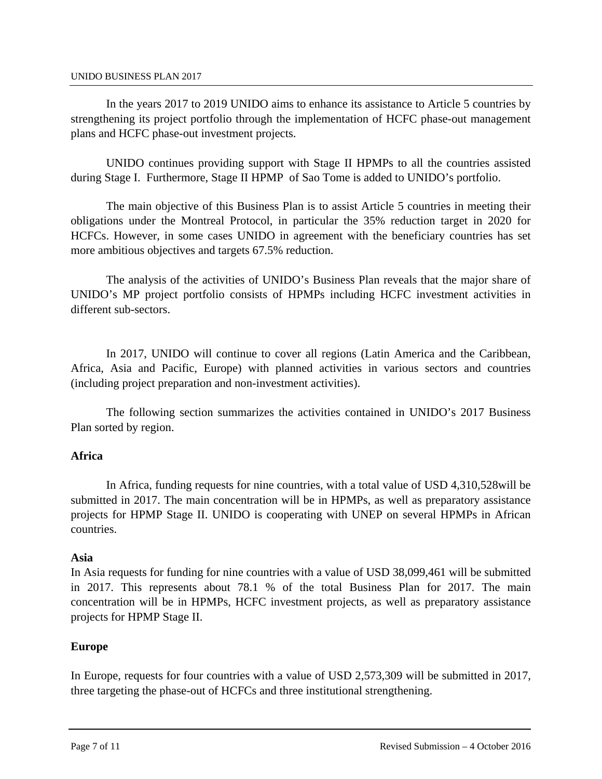In the years 2017 to 2019 UNIDO aims to enhance its assistance to Article 5 countries by strengthening its project portfolio through the implementation of HCFC phase-out management plans and HCFC phase-out investment projects.

UNIDO continues providing support with Stage II HPMPs to all the countries assisted during Stage I. Furthermore, Stage II HPMP of Sao Tome is added to UNIDO's portfolio.

The main objective of this Business Plan is to assist Article 5 countries in meeting their obligations under the Montreal Protocol, in particular the 35% reduction target in 2020 for HCFCs. However, in some cases UNIDO in agreement with the beneficiary countries has set more ambitious objectives and targets 67.5% reduction.

The analysis of the activities of UNIDO's Business Plan reveals that the major share of UNIDO's MP project portfolio consists of HPMPs including HCFC investment activities in different sub-sectors.

In 2017, UNIDO will continue to cover all regions (Latin America and the Caribbean, Africa, Asia and Pacific, Europe) with planned activities in various sectors and countries (including project preparation and non-investment activities).

The following section summarizes the activities contained in UNIDO's 2017 Business Plan sorted by region.

## **Africa**

In Africa, funding requests for nine countries, with a total value of USD 4,310,528will be submitted in 2017. The main concentration will be in HPMPs, as well as preparatory assistance projects for HPMP Stage II. UNIDO is cooperating with UNEP on several HPMPs in African countries.

## **Asia**

In Asia requests for funding for nine countries with a value of USD 38,099,461 will be submitted in 2017. This represents about 78.1 % of the total Business Plan for 2017. The main concentration will be in HPMPs, HCFC investment projects, as well as preparatory assistance projects for HPMP Stage II.

## **Europe**

In Europe, requests for four countries with a value of USD 2,573,309 will be submitted in 2017, three targeting the phase-out of HCFCs and three institutional strengthening.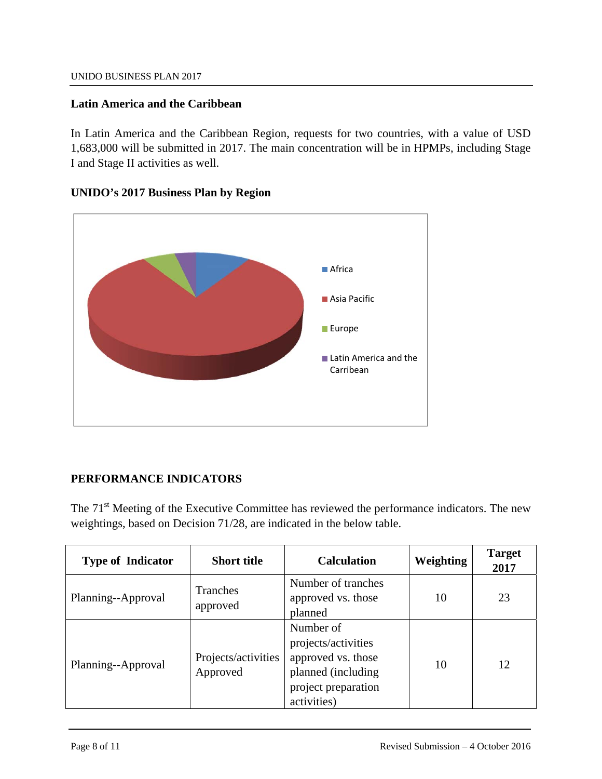## **Latin America and the Caribbean**

In Latin America and the Caribbean Region, requests for two countries, with a value of USD 1,683,000 will be submitted in 2017. The main concentration will be in HPMPs, including Stage I and Stage II activities as well.

## **UNIDO's 2017 Business Plan by Region**



# **PERFORMANCE INDICATORS**

The 71<sup>st</sup> Meeting of the Executive Committee has reviewed the performance indicators. The new weightings, based on Decision 71/28, are indicated in the below table.

| <b>Type of Indicator</b> | <b>Short title</b>              | <b>Calculation</b>                                                                                                 | Weighting | <b>Target</b><br>2017 |
|--------------------------|---------------------------------|--------------------------------------------------------------------------------------------------------------------|-----------|-----------------------|
| Planning--Approval       | Tranches<br>approved            | Number of tranches<br>approved vs. those<br>planned                                                                | 10        | 23                    |
| Planning--Approval       | Projects/activities<br>Approved | Number of<br>projects/activities<br>approved vs. those<br>planned (including<br>project preparation<br>activities) | 10        | 12                    |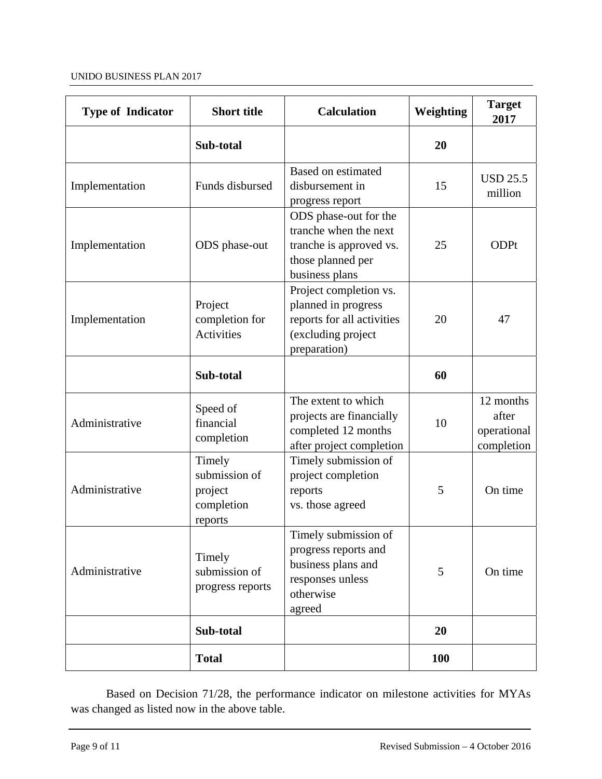| <b>Type of Indicator</b> | <b>Short title</b>                                          | <b>Calculation</b>                                                                                                | Weighting  | <b>Target</b><br>2017                           |
|--------------------------|-------------------------------------------------------------|-------------------------------------------------------------------------------------------------------------------|------------|-------------------------------------------------|
|                          | Sub-total                                                   |                                                                                                                   | 20         |                                                 |
| Implementation           | Funds disbursed                                             | Based on estimated<br>disbursement in<br>progress report                                                          | 15         | <b>USD 25.5</b><br>million                      |
| Implementation           | ODS phase-out                                               | ODS phase-out for the<br>tranche when the next<br>tranche is approved vs.<br>those planned per<br>business plans  | 25         | <b>ODPt</b>                                     |
| Implementation           | Project<br>completion for<br><b>Activities</b>              | Project completion vs.<br>planned in progress<br>reports for all activities<br>(excluding project<br>preparation) | 20         | 47                                              |
|                          | Sub-total                                                   |                                                                                                                   | 60         |                                                 |
| Administrative           | Speed of<br>financial<br>completion                         | The extent to which<br>projects are financially<br>completed 12 months<br>after project completion                | 10         | 12 months<br>after<br>operational<br>completion |
| Administrative           | Timely<br>submission of<br>project<br>completion<br>reports | Timely submission of<br>project completion<br>reports<br>vs. those agreed                                         | 5          | On time                                         |
| Administrative           | Timely<br>submission of<br>progress reports                 | Timely submission of<br>progress reports and<br>business plans and<br>responses unless<br>otherwise<br>agreed     | 5          | On time                                         |
|                          | Sub-total                                                   |                                                                                                                   | 20         |                                                 |
|                          | <b>Total</b>                                                |                                                                                                                   | <b>100</b> |                                                 |

Based on Decision 71/28, the performance indicator on milestone activities for MYAs was changed as listed now in the above table.